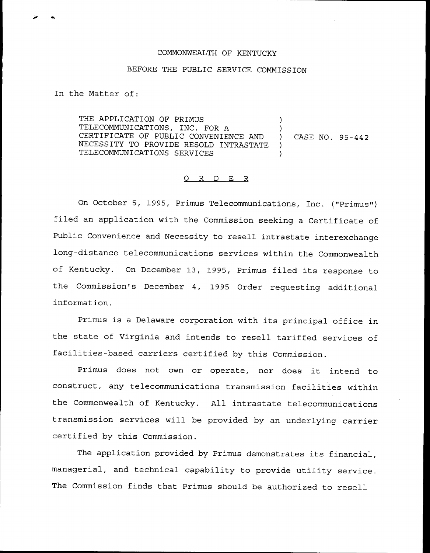## COMMONWEALTH OF KENTUCKY

## BEFORE THE PUBLIC SERVICE COMMISSION

In the Matter of:

THE APPLICATION OF PRIMUS TELECOMMUNICATIONS, INC. FOR A )<br>CERTIFICATE OF PUBLIC CONVENIENCE AND ) CERTIFICATE OF PUBLIC CONVENIENCE AND ) CASE NO. 95-442<br>NECESSITY TO PROVIDE RESOLD INTRASTATE ) NECESSITY TO PROVIDE RESOLD INTRASTATE )<br>TELECOMMUNICATIONS SERVICES TELECOMMUNICATIONS SERVICES )

## 0 R <sup>D</sup> E R

On October 5, 1995, Primus Telecommunications, Inc. ("Primus" ) filed an application with the Commission seeking <sup>a</sup> Certificate of Public Convenience and Necessity to resell intrastate interexchange long-distance telecommunications services within the Commonwealth of Kentucky. On December 13, 1995, Primus filed its response to the Commission's December 4, 1995 Order requesting additional information.

Primus is <sup>a</sup> Delaware corporation with its principal office in the state of Virginia and intends to resell tariffed services of facilities-based carriers certified by this Commission.

Primus does not own or operate, nor does it intend to construct, any telecommunications transmission facilities within the Commonwealth of Kentucky. All intrastate telecommunications transmission services will be provided by an underlying carrier certified by this Commission.

The application provided by Primus demonstrates its financial, managerial, and technical capability to provide utility service. The Commission finds that Primus should be authorized to resell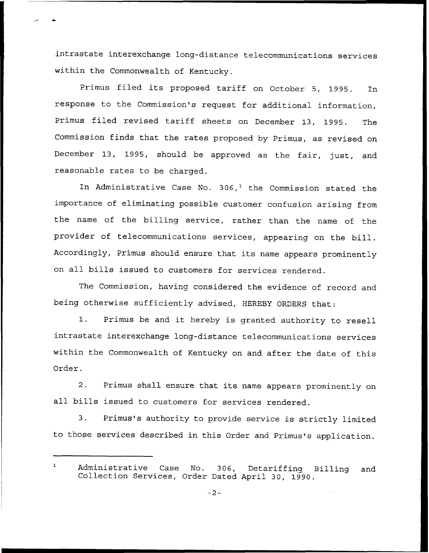intrastate interexchange long-distance telecommunications services within the Commonwealth of Kentucky.

Primus filed its proposed tariff on October 5, 1995. In response to the Commission's request for additional information, Primus filed revised tariff sheets on December 13, 1995. The Commission finds that the rates proposed by Primus, as revised on December 13, 1995, should be approved as the fair, just, and reasonable rates to be charged.

In Administrative Case No.  $306<sup>1</sup>$  the Commission stated the importance of eliminating possible customer confusion arising from the name of the billing service, rather than the name of the provider of telecommunications services, appearing on the bill. Accordingly, Primus should ensure that its name appears prominently on all bills issued to customers for services rendered.

The Commission, having considered the evidence of record and being otherwise sufficiently advised, HEREBY ORDERS that:

1. Primus be and it hereby is granted authority to resell intrastate interexchange long-distance telecommunications services within the Commonwealth of Kentucky on and after the date of this Order.

2. Primus shall ensure that its name appears prominently on all bills issued to customers for services rendered.

3. Primus's authority to provide service is strictly limited to those services described in this Order and Primus's application.

 $\mathbf{1}$ Administrative Case No. 306, Detariffing Billing and Collection Services, Order Dated April 30, 1990.